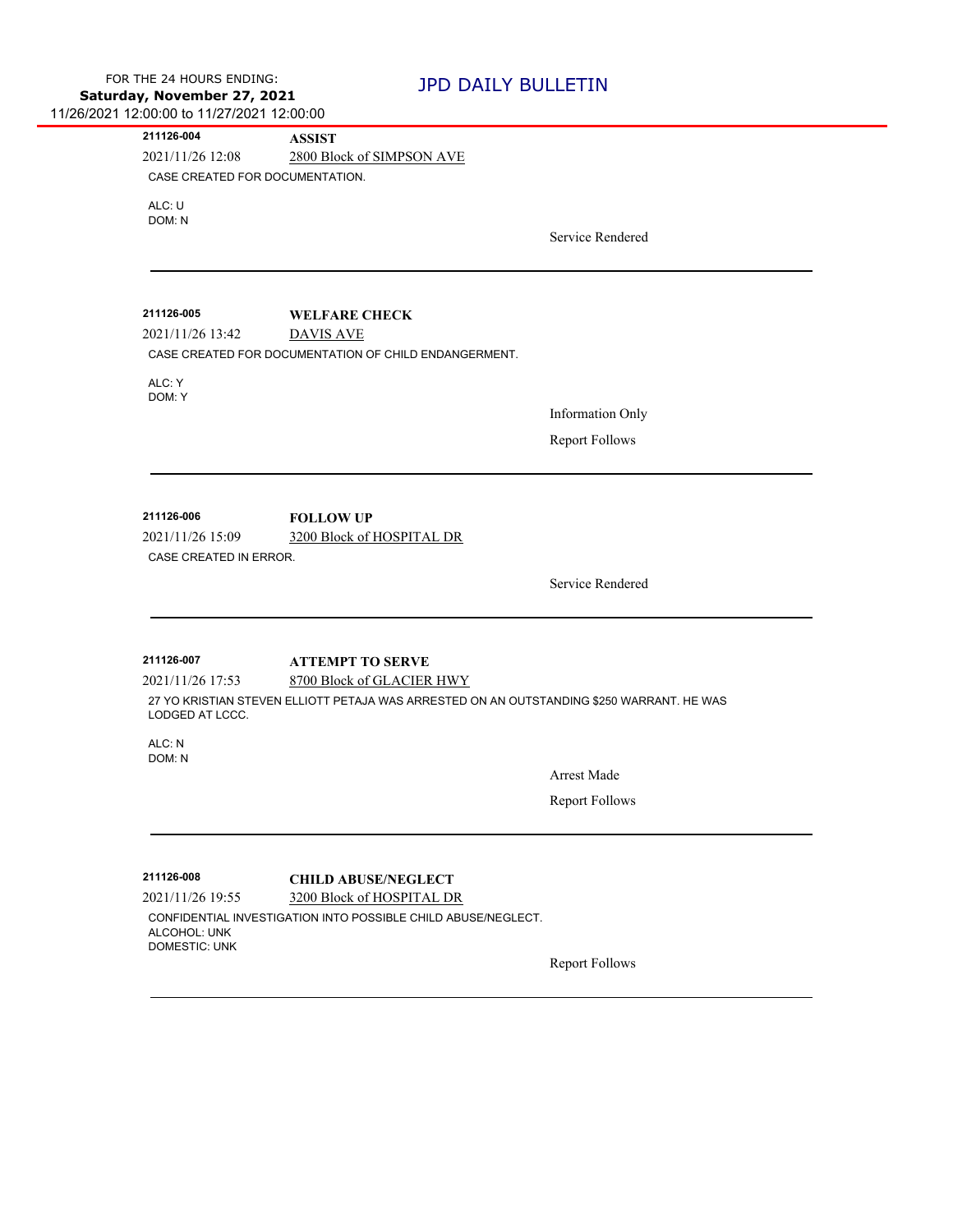| 211126-004                          | <b>ASSIST</b>                                                                             |                         |
|-------------------------------------|-------------------------------------------------------------------------------------------|-------------------------|
| 2021/11/26 12:08                    | 2800 Block of SIMPSON AVE                                                                 |                         |
| CASE CREATED FOR DOCUMENTATION.     |                                                                                           |                         |
| ALC: U                              |                                                                                           |                         |
| DOM: N                              |                                                                                           | Service Rendered        |
|                                     |                                                                                           |                         |
|                                     |                                                                                           |                         |
| 211126-005                          | <b>WELFARE CHECK</b>                                                                      |                         |
| 2021/11/26 13:42                    | <b>DAVIS AVE</b>                                                                          |                         |
|                                     | CASE CREATED FOR DOCUMENTATION OF CHILD ENDANGERMENT.                                     |                         |
| ALC: Y                              |                                                                                           |                         |
| DOM: Y                              |                                                                                           | <b>Information Only</b> |
|                                     |                                                                                           | <b>Report Follows</b>   |
|                                     |                                                                                           |                         |
|                                     |                                                                                           |                         |
| 211126-006                          | <b>FOLLOW UP</b>                                                                          |                         |
| 2021/11/26 15:09                    | 3200 Block of HOSPITAL DR                                                                 |                         |
| CASE CREATED IN ERROR.              |                                                                                           |                         |
|                                     |                                                                                           | Service Rendered        |
|                                     |                                                                                           |                         |
|                                     |                                                                                           |                         |
| 211126-007                          | <b>ATTEMPT TO SERVE</b>                                                                   |                         |
|                                     | 8700 Block of GLACIER HWY                                                                 |                         |
|                                     |                                                                                           |                         |
| 2021/11/26 17:53<br>LODGED AT LCCC. | 27 YO KRISTIAN STEVEN ELLIOTT PETAJA WAS ARRESTED ON AN OUTSTANDING \$250 WARRANT. HE WAS |                         |
| ALC: N                              |                                                                                           |                         |
| DOM: N                              |                                                                                           | Arrest Made             |
|                                     |                                                                                           |                         |
|                                     |                                                                                           | <b>Report Follows</b>   |
|                                     |                                                                                           |                         |
| 211126-008                          | <b>CHILD ABUSE/NEGLECT</b>                                                                |                         |
| 2021/11/26 19:55                    | 3200 Block of HOSPITAL DR                                                                 |                         |
| ALCOHOL: UNK                        | CONFIDENTIAL INVESTIGATION INTO POSSIBLE CHILD ABUSE/NEGLECT.                             |                         |
| <b>DOMESTIC: UNK</b>                |                                                                                           | <b>Report Follows</b>   |